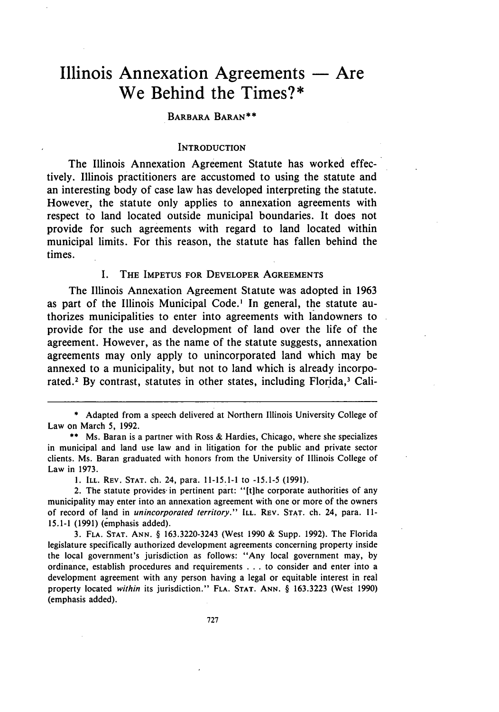# **Illinois Annexation Agreements - Are We Behind the Times?\***

## **BARBARA BARAN\*\***

## **INTRODUCTION**

The Illinois Annexation Agreement Statute has worked effectively. Illinois practitioners are accustomed to using the statute and an interesting body of case law has developed interpreting the statute. However, the statute only applies to annexation agreements with respect to land located outside municipal boundaries. It does not provide for such agreements with regard to land located within municipal limits. For this reason, the statute has fallen behind the times.

#### **I. THE IMPETUS FOR DEVELOPER AGREEMENTS**

The Illinois Annexation Agreement Statute was adopted in **1963** as part of the Illinois Municipal Code.' In general, the statute authorizes municipalities to enter into agreements with landowners to provide for the use and development of land over the life of the agreement. However, as the name of the statute suggests, annexation agreements may only apply to unincorporated land which may be annexed to a municipality, but not to land which is already incorporated.<sup>2</sup> By contrast, statutes in other states, including Florida,<sup>3</sup> Cali-

**1. ILL. REV. STAT.** ch. 24, para. 11-15.1-1 to **-15.1-5 (1991).**

3. **FLA. STAT. ANN.** § 163.3220-3243 (West 1990 & Supp. 1992). The Florida legislature specifically authorized development agreements concerning property inside the local government's jurisdiction as follows: "Any local government may, by ordinance, establish procedures and requirements . . . to consider and enter into a development agreement with any person having a legal or equitable interest in real property located *within* its jurisdiction." **FLA. STAT. ANN.** § 163.3223 (West 1990) (emphasis added).

<sup>\*</sup> Adapted from a speech delivered at Northern Illinois University College of Law on March 5, 1992.

<sup>\*\*</sup> Ms. Baran is a partner with Ross & Hardies, Chicago, where she specializes in municipal and land use law and in litigation for the public and private sector clients. Ms. Baran graduated with honors from the University of Illinois College of Law in 1973.

<sup>2.</sup> The statute provides in pertinent part: "[t]he corporate authorities of any municipality may enter into an annexation agreement with one or more of the owners of record of land in *unincorporated territory."* **ILL. REV. STAT.** ch. 24, para. **11- 15.1-1** (1991) (emphasis added).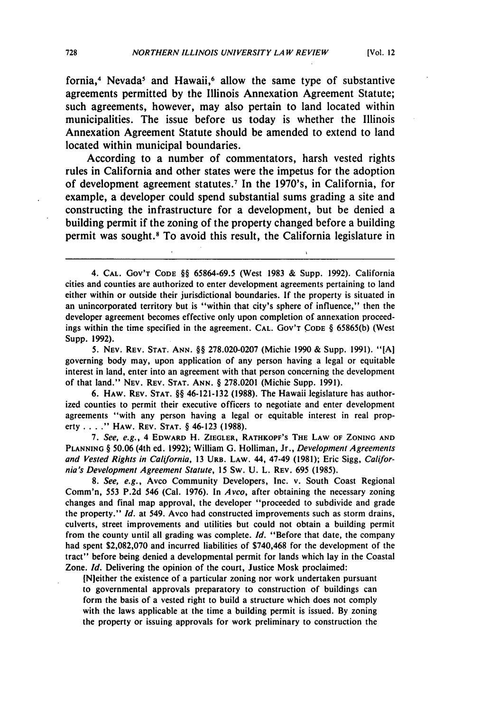fornia,<sup>4</sup> Nevada<sup>5</sup> and Hawaii,<sup>6</sup> allow the same type of substantive agreements permitted **by** the Illinois Annexation Agreement Statute; such agreements, however, may also pertain to land located within municipalities. The issue before us today is whether the Illinois Annexation Agreement Statute should be amended to extend to land located within municipal boundaries.

According to a number of commentators, harsh vested rights rules in California and other states were the impetus for the adoption of development agreement statutes.<sup>7</sup> In the 1970's, in California, for example, a developer could spend substantial sums grading a site and constructing the infrastructure for a development, but be denied a building permit if the zoning of the property changed before a building permit was sought.' To avoid this result, the California legislature in

5. NEv. REV. STAT. ANN. §§ 278.020-0207 (Michie 1990 & Supp. 1991). "[A] governing body may, upon application of any person having a legal or equitable interest in land, enter into an agreement with that person concerning the development of that land." NEv. REV. STAT. ANN. § 278.0201 (Michie Supp. 1991).

6. HAW. REV. **STAT.** §§ 46-121-132 (1988). The Hawaii legislature has authorized counties to permit their executive officers to negotiate and enter development agreements "with any person having a legal or equitable interest in real property . **. . ."** HAW. REV. **STAT.** § 46-123 (1988).

7. *See, e.g.,* 4 EDWARD H. ZIEGLER, RATHKOPF'S THE LAW OF **ZONING AND PLANNING** § **50.06** (4th ed. 1992); William **G.** Holliman, Jr., *Development Agreements and Vested Rights in California,* 13 URB. LAW. 44, 47-49 (1981); Eric Sigg, *California's Development Agreement Statute,* 15 Sw. U. L. REV. 695 (1985).

*8. See, e.g.,* Avco Community Developers, Inc. v. South Coast Regional Comm'n, 553 P.2d 546 (Cal. 1976). In *Avco,* after obtaining the necessary zoning changes and final map approval, the developer "proceeded to subdivide and grade the property." *Id.* at 549. Avco had constructed improvements such as storm drains, culverts, street improvements and utilities but could not obtain a building permit from the county until all grading was complete. *Id.* "Before that date, the company had spent \$2,082,070 and incurred liabilities of \$740,468 for the development of the tract" before being denied a developmental permit for lands which lay in the Coastal Zone. *Id.* Delivering the opinion of the court, Justice Mosk proclaimed:

INjeither the existence of a particular zoning nor work undertaken pursuant to governmental approvals preparatory to construction of buildings can form the basis of a vested right to build a structure which does not comply with the laws applicable at the time a building permit is issued. By zoning the property or issuing approvals for work preliminary to construction the

<sup>4.</sup> CAL. GOv'T **CODE** §§ 65864-69.5 (West 1983 & Supp. 1992). California cities and counties are authorized to enter development agreements pertaining to land either within or outside their jurisdictional boundaries. If the property is situated in an unincorporated territory but is "within that city's sphere of influence," then the developer agreement becomes effective only upon completion of annexation proceedings within the time specified in the agreement. **CAL.** GOV'T **CODE** § 65865(b) (West Supp. 1992).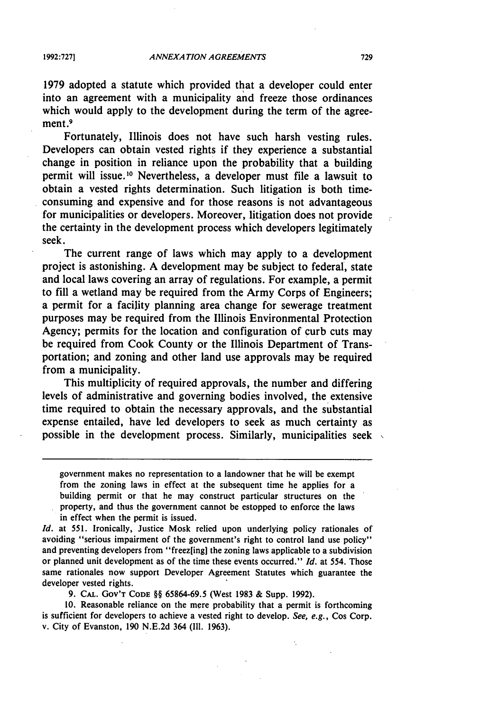**1979** adopted a statute which provided that a developer could enter into an agreement with a municipality and freeze those ordinances which would apply to the development during the term of the agreement.<sup>9</sup>

Fortunately, Illinois does not have such harsh vesting rules. Developers can obtain vested rights if they experience a substantial change in position in reliance upon the probability that a building permit will issue.<sup>10</sup> Nevertheless, a developer must file a lawsuit to obtain a vested rights determination. Such litigation is both timeconsuming and expensive and for those reasons is not advantageous for municipalities or developers. Moreover, litigation does not provide the certainty in the development process which developers legitimately seek.

The current range of laws which may apply to a development project is astonishing. A development may be subject to federal, state and local laws covering an array of regulations. For example, a permit to fill a wetland may be required from the Army Corps of Engineers; a permit for a facility planning area change for sewerage treatment purposes may be required from the Illinois Environmental Protection Agency; permits for the location and configuration of curb cuts may be required from Cook County or the Illinois Department of Transportation; and zoning and other land use approvals may be required from a municipality.

This multiplicity of required approvals, the number and differing levels of administrative and governing bodies involved, the extensive time required to obtain the necessary approvals, and the substantial expense entailed, have led developers to seek as much certainty as possible in the development process. Similarly, municipalities seek

government makes no representation to a landowner that he will be exempt from the zoning laws in effect at the subsequent time he applies for a building permit or that he may construct particular structures on the property, and thus the government cannot be estopped to enforce the laws in effect when the permit is issued.

*Id.* at 551. Ironically, Justice Mosk relied upon underlying policy rationales of avoiding "serious impairment of the government's right to control land use policy" and preventing developers from "freez[ing] the zoning laws applicable to a subdivision or planned unit development as of the time these events occurred." *Id.* at 554. Those same rationales now support Developer Agreement Statutes which guarantee the developer vested rights.

9. CAL. Gov'T **CODE** §§ 65864-69.5 (West 1983 & Supp. 1992).

10. Reasonable reliance on the mere probability that a permit is forthcoming is sufficient for developers to achieve a vested right to develop. *See, e.g.,* Cos Corp. v. City of Evanston, 190 N.E.2d 364 (Il1. 1963).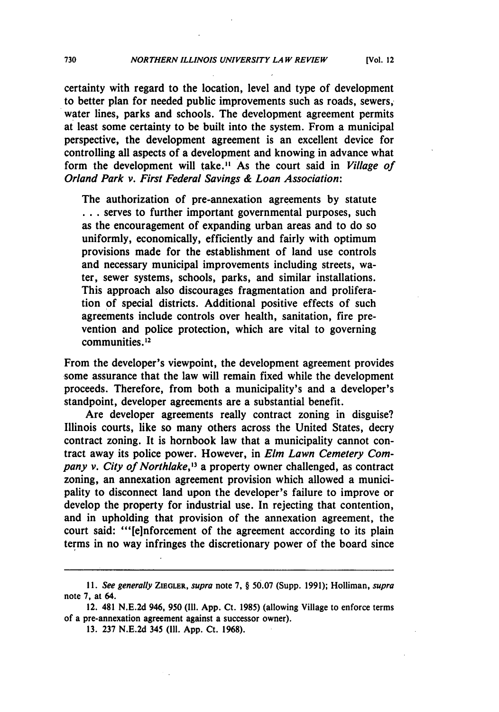certainty with regard to the location, level and type of development to better plan for needed public improvements such as roads, sewers, water lines, parks and schools. The development agreement permits at least some certainty to be built into the system. From a municipal perspective, the development agreement is an excellent device for controlling all aspects of a development and knowing in advance what form the development will take." As the court said in *Village of Orland Park v. First Federal Savings & Loan Association:*

The authorization of pre-annexation agreements **by** statute **...** serves to further important governmental purposes, such as the encouragement of expanding urban areas and to do so uniformly, economically, efficiently and fairly with optimum provisions made for the establishment of land use controls and necessary municipal improvements including streets, water, sewer systems, schools, parks, and similar installations. This approach also discourages fragmentation and proliferation of special districts. Additional positive effects of such agreements include controls over health, sanitation, fire prevention and police protection, which are vital to governing communities. **2**

From the developer's viewpoint, the development agreement provides some assurance that the law will remain fixed while the development proceeds. Therefore, from both a municipality's and a developer's standpoint, developer agreements are a substantial benefit.

Are developer agreements really contract zoning in disguise? Illinois courts, like so many others across the United States, decry contract zoning. It is hornbook law that a municipality cannot contract away its police power. However, in *Elm Lawn Cemetery Company v. City of Northlake,"3* a property owner challenged, as contract zoning, an annexation agreement provision which allowed a municipality to disconnect land upon the developer's failure to improve or develop the property for industrial use. In rejecting that contention, and in upholding that provision of the annexation agreement, the court said: "'[e]nforcement of the agreement according to its plain terms in no way infringes the discretionary power of the board since

*<sup>11.</sup> See generally ZIEGLER, supra* note *7,* § **50.07** (Supp. **1991);** Holliman, *supra* note **7,** at 64.

<sup>12. 481</sup> **N.E.2d** 946, **950 (I11. App.** Ct. **1985)** (allowing Village to enforce terms of a pre-annexation agreement against a successor owner).

**<sup>13. 237</sup> N.E.2d** 345 (Ill. **App.** Ct. **1968).**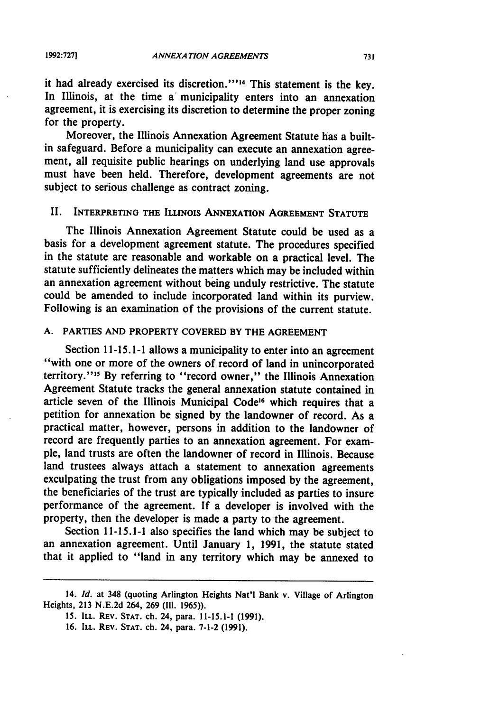it had already exercised its discretion."<sup>14</sup> This statement is the key. In Illinois, at the time a municipality enters into an annexation agreement, it is exercising its discretion to determine the proper zoning for the property.

Moreover, the Illinois Annexation Agreement Statute has a builtin safeguard. Before a municipality can execute an annexation agreement, all requisite public hearings on underlying land use approvals must have been held. Therefore, development agreements are not subject to serious challenge as contract zoning.

## II. **INTERPRETING THE ILLINOIS ANNEXATION AGREEMENT STATUTE**

The Illinois Annexation Agreement Statute could be used as a basis for a development agreement statute. The procedures specified in the statute are reasonable and workable on a practical level. The statute sufficiently delineates the matters which may be included within an annexation agreement without being unduly restrictive. The statute could be amended to include incorporated land within its purview. Following is an examination of the provisions of the current statute.

## **A. PARTIES AND PROPERTY COVERED BY THE AGREEMENT**

Section **11-15.1-1** allows a municipality to enter into an agreement "with one or more of the owners of record of land in unincorporated territory."" **By** referring to "record owner," the Illinois Annexation Agreement Statute tracks the general annexation statute contained in article seven of the Illinois Municipal Code<sup>16</sup> which requires that a petition for annexation be signed **by** the landowner of record. As a practical matter, however, persons in addition to the landowner of record are frequently parties to an annexation agreement. For example, land trusts are often the landowner of record in Illinois. Because land trustees always attach a statement to annexation agreements exculpating the trust from any obligations imposed **by** the agreement, the beneficiaries of the trust are typically included as parties to insure performance of the agreement. If a developer is involved with the property, then the developer is made a party to the agreement.

Section **11-15.1-1** also specifies the land which may be subject to an annexation agreement. Until January **1, 1991,** the statute stated that it applied to "land in any territory which may be annexed to

**<sup>14.</sup>** *Id.* at 348 (quoting Arlington Heights Nat'l Bank v. Village of Arlington **Heights, 213 N.E.2d 264, 269 (Ill. 1965)).**

**<sup>15.</sup> ILL. REV. STAT.** ch. 24, para. **11-15.1-1 (1991).**

**<sup>16.</sup> ILL. REV. STAT.** ch. 24, para. **7-1-2 (1991).**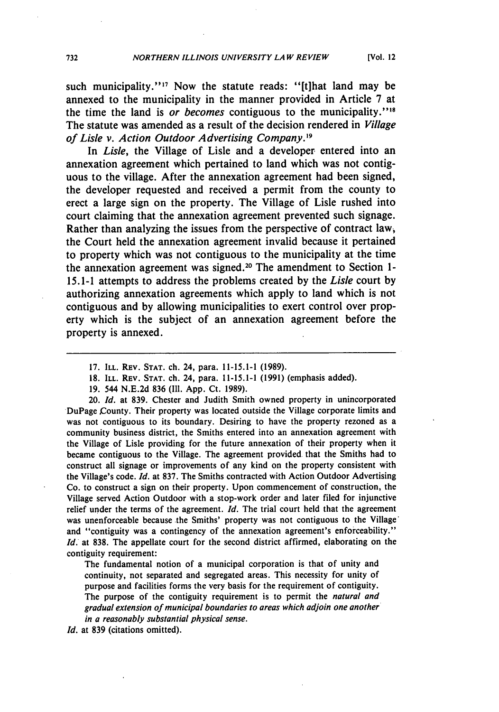such municipality."<sup>17</sup> Now the statute reads: "[t]hat land may be annexed to the municipality in the manner provided in Article **7** at the time the land is *or becomes* contiguous to the municipality."<sup>18</sup> The statute was amended as a result of the decision rendered in *Village of Lisle v. Action Outdoor Advertising Company. <sup>9</sup>*

In *Lisle,* the Village of Lisle and a developer entered into an annexation agreement which pertained to land which was not contiguous to the village. After the annexation agreement had been signed, the developer requested and received a permit from the county to erect a large sign on the property. The Village of Lisle rushed into court claiming that the annexation agreement prevented such signage. Rather than analyzing the issues from the perspective of contract law, the Court held the annexation agreement invalid because it pertained to property which was not contiguous to the municipality at the time the annexation agreement was signed. 20 The amendment to Section **1- 15.1-1** attempts to address the problems created **by** the *Lisle* court **by** authorizing annexation agreements which apply to land which is not contiguous and **by** allowing municipalities to exert control over property which is the subject of an annexation agreement before the property is annexed.

- 18. ILL. REv. **STAT.** ch. 24, para. 11-15.1-1 (1991) (emphasis added).
- 19. 544 N.E.2d **836 (I11. App.** Ct. 1989).

20. *Id.* at 839. Chester and Judith Smith owned property in unincorporated DuPage County. Their property was located outside the Village corporate limits and was not contiguous to its boundary. Desiring to have the property rezoned as a community business district, the Smiths entered into an annexation agreement with the Village of Lisle providing for the future annexation of their property when it became contiguous to the Village. The agreement provided that the Smiths had to construct all signage or improvements of any kind on the property consistent with the Village's code. *Id.* at 837. The Smiths contracted with Action Outdoor Advertising Co. to construct a sign on their property. Upon commencement of construction, the Village served Action Outdoor with a stop-work order and later filed for injunctive relief under the terms of the agreement. *Id.* The trial court held that the agreement was unenforceable because the Smiths' property was not contiguous to the Village' and "contiguity was a contingency of the annexation agreement's enforceability." *1d.* at 838. The appellate court for the second district affirmed, elaborating on the contiguity requirement:

The fundamental notion of a municipal corporation is that of unity and continuity, not separated and segregated areas. This necessity for unity of purpose and facilities forms the very basis for the requirement of contiguity. The purpose of the contiguity requirement is to permit the *natural and gradual extension of municipal boundaries to areas which adjoin one another in a reasonably substantial physical sense.*

*Id.* at 839 (citations omitted).

**<sup>17.</sup>** ILL. REV. **STAT.** ch. 24, para. **11-15.1-1 (1989).**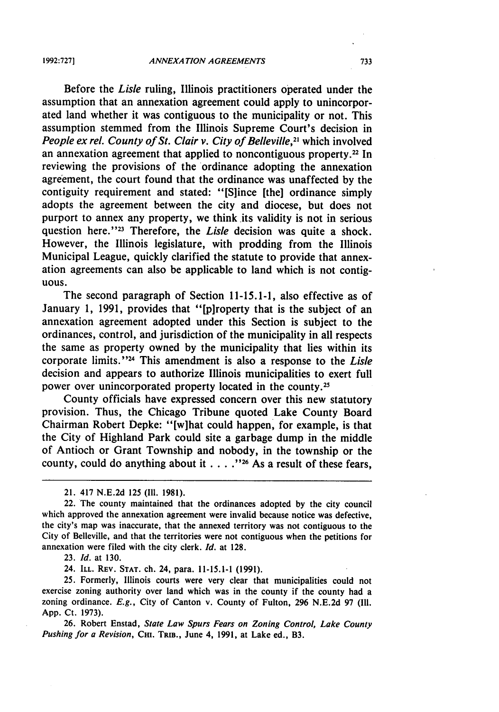**1992:7271**

Before the *Lisle* ruling, Illinois practitioners operated under the assumption that an annexation agreement could apply to unincorporated land whether it was contiguous to the municipality or not. This assumption stemmed from the Illinois Supreme Court's decision in *People ex rel. County of St. Clair v. City of Belleville*,<sup>21</sup> which involved an annexation agreement that applied to noncontiguous property.<sup>22</sup> In reviewing the provisions of the ordinance adopting the annexation agreement, the court found that the ordinance was unaffected by the contiguity requirement and stated: "[S]ince [the] ordinance simply adopts the agreement between the city and diocese, but does not purport to annex any property, we think its validity is not in serious question here.<sup>"23</sup> Therefore, the *Lisle* decision was quite a shock. However, the Illinois legislature, with prodding from the Illinois Municipal League, quickly clarified the statute to provide that annexation agreements can also be applicable to land which is not contiguous.

The second paragraph of Section 11-15.1-1, also effective as of January 1, 1991, provides that "[p]roperty that is the subject of an annexation agreement adopted under this Section is subject to the ordinances, control, and jurisdiction of the municipality in all respects the same as property owned by the municipality that lies within its corporate limits." 24 This amendment is also a response to the *Lisle* decision and appears to authorize Illinois municipalities to exert full power over unincorporated property located in the county. <sup>25</sup>

County officials have expressed concern over this new statutory provision. Thus, the Chicago Tribune quoted Lake County Board Chairman Robert Depke: "[w]hat could happen, for example, is that the City of Highland Park could site a garbage dump in the middle of Antioch or Grant Township and nobody, in the township or the county, could do anything about it . . . . "<sup>26</sup> As a result of these fears,

23. *Id.* at 130.

24. ILL. REV. **STAT.** ch. 24, para. 11-15.1-1 (1991).

25. Formerly, Illinois courts were very clear that municipalities could not exercise zoning authority over land which was in the county if the county had a zoning ordinance. *E.g.,* City of Canton v. County of Fulton, 296 N.E.2d 97 (Ill. App. Ct. 1973).

26. Robert Enstad, *State Law Spurs Fears on Zoning Control, Lake County Pushing for a Revision,* Cm. TRIB., June 4, 1991, at Lake ed., B3.

<sup>21. 417</sup> N.E.2d 125 (Ill. 1981).

<sup>22.</sup> The county maintained that the ordinances adopted by the city council which approved the annexation agreement were invalid because notice was defective, the city's map was inaccurate, that the annexed territory was not contiguous to the City of Belleville, and that the territories were not contiguous when the petitions for annexation were filed with the city clerk. *Id.* at 128.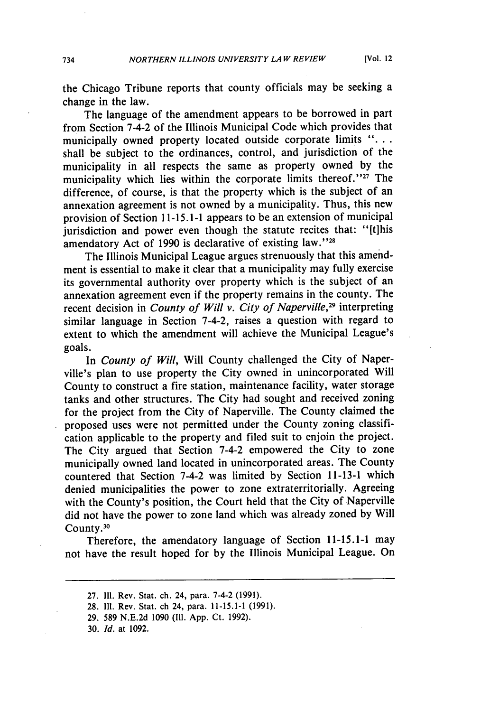the Chicago Tribune reports that county officials may be seeking a change in the law.

The language of the amendment appears to be borrowed in part from Section 7-4-2 of the Illinois Municipal Code which provides that municipally owned property located outside corporate limits *"...* shall be subject to the ordinances, control, and jurisdiction of the municipality in all respects the same as property owned by the municipality which lies within the corporate limits thereof."<sup>27</sup> The difference, of course, is that the property which is the subject of an annexation agreement is not owned by a municipality. Thus, this new provision of Section 11-15.1-1 appears to be an extension of municipal jurisdiction and power even though the statute recites that: "[t]his amendatory Act of 1990 is declarative of existing law."<sup>28</sup>

The Illinois Municipal League argues strenuously that this amendment is essential to make it clear that a municipality may fully exercise its governmental authority over property which is the subject of an annexation agreement even if the property remains in the county. The recent decision in *County of Will v. City of Naperville,29* interpreting similar language in Section 7-4-2, raises a question with regard to extent to which the amendment will achieve the Municipal League's goals.

In *County of Will,* Will County challenged the City of Naperville's plan to use property the City owned in unincorporated Will County to construct a fire station, maintenance facility, water storage tanks and other structures. The City had sought and received zoning for the project from the City of Naperville. The County claimed the proposed uses were not permitted under the County zoning classification applicable to the property and filed suit to enjoin the project. The City argued that Section 7-4-2 empowered the City to zone municipally owned land located in unincorporated areas. The County countered that Section 7-4-2 was limited by Section 11-13-1 which denied municipalities the power to zone extraterritorially. Agreeing with the County's position, the Court held that the City of Naperville did not have the power to zone land which was already zoned by Will County.<sup>30</sup>

Therefore, the amendatory language of Section 11-15.1-1 may not have the result hoped for by the Illinois Municipal League. On

- 28. Il1. Rev. Stat. ch 24, para. 11-15.1-1 (1991).
- 29. 589 N.E.2d 1090 (Ill. App. Ct. 1992).
- 30. *Id.* at 1092.

<sup>27.</sup> Ill. Rev. Stat. ch. 24, para. 7-4-2 (1991).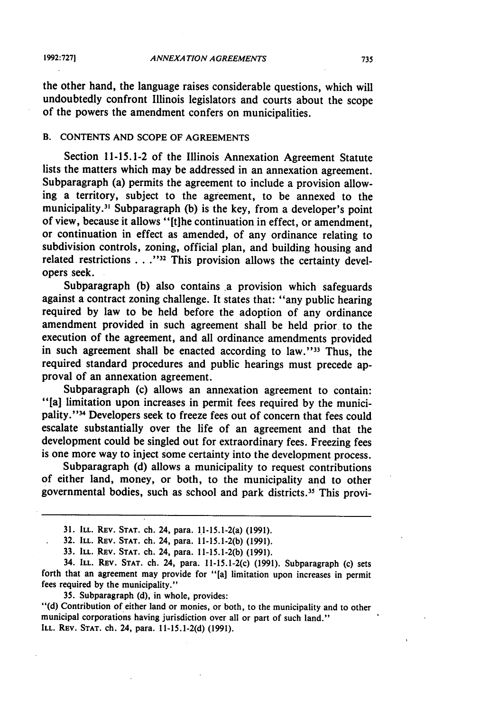**1992:7271**

the other hand, the language raises considerable questions, which will undoubtedly confront Illinois legislators and courts about the scope of the powers the amendment confers on municipalities.

#### B. **CONTENTS AND SCOPE** OF **AGREEMENTS**

Section 11-15.1-2 of the Illinois Annexation Agreement Statute lists the matters which may be addressed in an annexation agreement. Subparagraph (a) permits the agreement to include a provision allowing a territory, subject to the agreement, to be annexed to the municipality.<sup>31</sup> Subparagraph (b) is the key, from a developer's point of view, because it allows "[tihe continuation in effect, or amendment, or continuation in effect as amended, of any ordinance relating to subdivision controls, zoning, official plan, and building housing and related restrictions . . ."<sup>32</sup> This provision allows the certainty developers seek.

Subparagraph (b) also contains a provision which safeguards against a contract zoning challenge. It states that: "any public hearing required by law to be held before the adoption of any ordinance amendment provided in such agreement shall be held prior to the execution of the agreement, and all ordinance amendments provided in such agreement shall be enacted according to law."<sup>33</sup> Thus, the required standard procedures and public hearings must precede approval of an annexation agreement.

Subparagraph (c) allows an annexation agreement to contain: "[a] limitation upon increases in permit fees required by the municipality."<sup>34</sup> Developers seek to freeze fees out of concern that fees could escalate substantially over the life of an agreement and that the development could be singled out for extraordinary fees. Freezing fees is one more way to inject some certainty into the development process.

Subparagraph (d) allows a municipality to request contributions of either land, money, or both, to the municipality and to other governmental bodies, such as school and park districts.35 This provi-

**32. ILL. REV. STAT.** ch. 24, para. **11-15.1-2(b) (1991).**

**33. ILL. REV. STAT.** ch. 24, para. **11-15.1-2(b) (1991).**

34. **ILL. REV. STAT.** ch. 24, para. 11-15.1-2(c) **(1991).** Subparagraph (c) sets forth that an agreement may provide for "[a] limitation upon increases in permit fees required **by** the municipality."

**35.** Subparagraph **(d),** in whole, provides:

**"(d)** Contribution of either land or monies, or both, to the municipality and to other municipal corporations having jurisdiction over all or part of such land." **ILL. REV. STAT.** ch. 24, para. **11-15.1-2(d) (1991).**

**<sup>31.</sup> ILL. REV. STAT.** ch. 24, para. 11-15.1-2(a) **(1991).**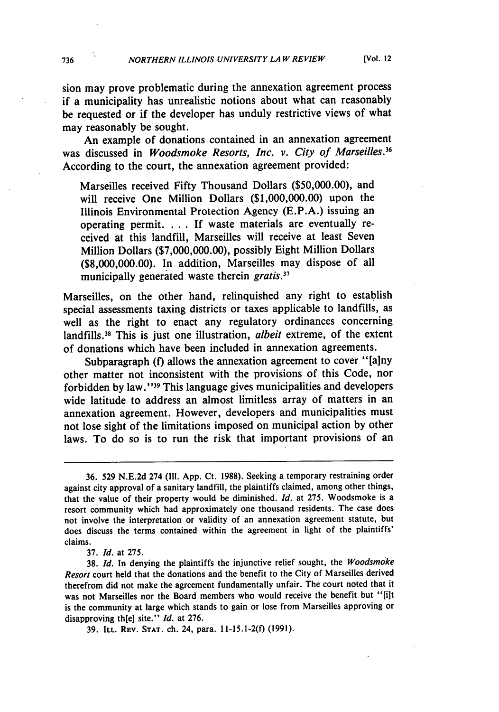sion may prove problematic during the annexation agreement process if a municipality has unrealistic notions about what can reasonably be requested or if the developer has unduly restrictive views of what may reasonably be sought.

An example of donations contained in an annexation agreement was discussed in *Woodsmoke Resorts, Inc. v. City of Marseilles.*<sup>36</sup> According to the court, the annexation agreement provided:

Marseilles received Fifty Thousand Dollars (\$50,000.00), and will receive One Million Dollars (\$1,000,000.00) upon the Illinois Environmental Protection Agency (E.P.A.) issuing an operating permit. . . If waste materials are eventually received at this landfill, Marseilles will receive at least Seven Million Dollars (\$7,000,000.00), possibly Eight Million Dollars (\$8,000,000.00). In addition, Marseilles may dispose of all municipally generated waste therein *gratis*.<sup>37</sup>

Marseilles, on the other hand, relinquished any right to establish special assessments taxing districts or taxes applicable to landfills, as well as the right to enact any regulatory ordinances concerning landfills.38 This is just one illustration, *albeit* extreme, of the extent of donations which have been included in annexation agreements.

Subparagraph **(f)** allows the annexation agreement to cover "[a]ny other matter not inconsistent with the provisions of this Code, nor forbidden by law."<sup>39</sup> This language gives municipalities and developers wide latitude to address an almost limitless array of matters in an annexation agreement. However, developers and municipalities must not lose sight of the limitations imposed on municipal action by other laws. To do so is to run the risk that important provisions of an

37. *Id.* at 275.

736

<sup>36. 529</sup> N.E.2d 274 (Il1. App. Ct. 1988). Seeking a temporary restraining order against city approval of a sanitary landfill, the plaintiffs claimed, among other things, that the value of their property would be diminished. *Id.* at 275. Woodsmoke is a resort community which had approximately one thousand residents. The case does not involve the interpretation or validity of an annexation agreement statute, but does discuss the terms contained within the agreement in light of the plaintiffs' claims.

<sup>38.</sup> *Id.* In denying the plaintiffs the injunctive relief sought, the *Woodsmoke Resort* court held that the donations and the benefit to the City of Marseilles derived therefrom did not make the agreement fundamentally unfair. The court noted that it was not Marseilles nor the Board members who would receive the benefit but "[ilt is the community at large which stands to gain or lose from Marseilles approving or disapproving th[eJ site." *Id.* at 276.

<sup>39.</sup> ILL. **REV. STAT.** ch. 24, para. 11-15.1-2(f) (1991).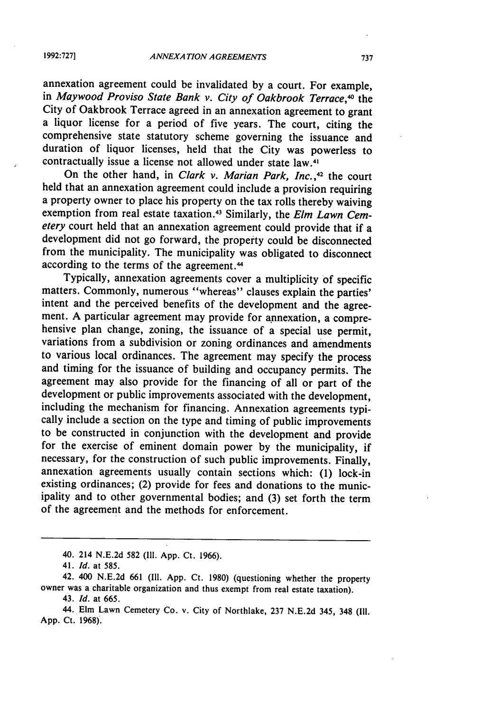annexation agreement could be invalidated by a court. For example, in *Maywood Proviso State Bank v. City of Oakbrook Terrace*,<sup>40</sup> the City of Oakbrook Terrace agreed in an annexation agreement to grant a liquor license for a period of five years. The court, citing the comprehensive state statutory scheme governing the issuance and duration of liquor licenses, held that the City was powerless to contractually issue a license not allowed under state law.<sup>4</sup>

On the other hand, in *Clark v. Marian Park, Inc.,42* the court held that an annexation agreement could include a provision requiring a property owner to place his property on the tax rolls thereby waiving exemption from real estate taxation. 43 Similarly, the *Elm Lawn Cemetery* court held that an annexation agreement could provide that if a development did not go forward, the property could be disconnected from the municipality. The municipality was obligated to disconnect according to the terms of the agreement.<sup>44</sup>

Typically, annexation agreements cover a multiplicity of specific matters. Commonly, numerous "whereas" clauses explain the parties' intent and the perceived benefits of the development and the agreement. A particular agreement may provide for annexation, a comprehensive plan change, zoning, the issuance of a special use permit, variations from a subdivision or zoning ordinances and amendments to various local ordinances. The agreement may specify the process and timing for the issuance of building and occupancy permits. The agreement may also provide for the financing of all or part of the development or public improvements associated with the development, including the mechanism for financing. Annexation agreements typically include a section on the type and timing of public improvements to be constructed in conjunction with the development and provide for the exercise of eminent domain power by the municipality, if necessary, for the construction of such public improvements. Finally, annexation agreements usually contain sections which: (1) lock-in existing ordinances; (2) provide for fees and donations to the municipality and to other governmental bodies; and (3) set forth the term of the agreement and the methods for enforcement.

<sup>40. 214</sup> N.E.2d 582 (Il1. App. Ct. 1966).

<sup>41.</sup> *Id.* at **585.**

<sup>42. 400</sup> N.E.2d 661 (Ill. App. Ct. 1980) (questioning whether the property owner was a charitable organization and thus exempt from real estate taxation).

<sup>43.</sup> *Id.* at **665.**

<sup>44.</sup> Elm Lawn Cemetery Co. v. City of Northlake, 237 N.E.2d 345, 348 (Il. App. Ct. 1968).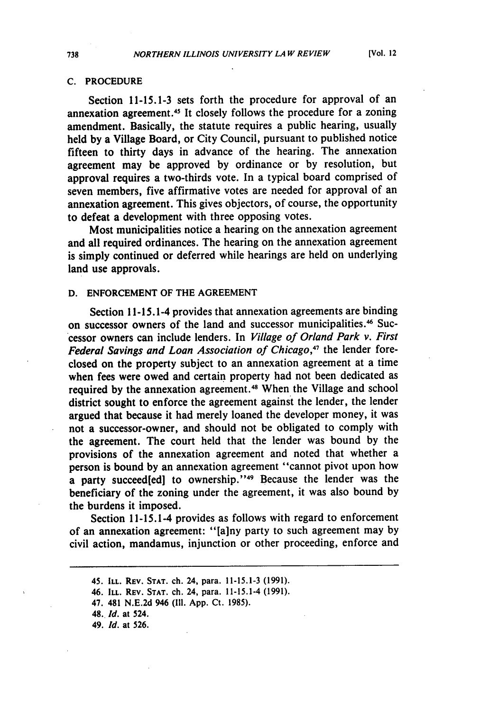#### **C.** PROCEDURE

Section **11-15.1-3** sets forth the procedure for approval of an annexation agreement.<sup>45</sup> It closely follows the procedure for a zoning amendment. Basically, the statute requires a public hearing, usually held **by** a Village Board, or City Council, pursuant to published notice fifteen to thirty days in advance of the hearing. The annexation agreement may be approved **by** ordinance or **by** resolution, but approval requires a two-thirds vote. In a typical board comprised of seven members, five affirmative votes are needed for approval of an annexation agreement. This gives objectors, of course, the opportunity to defeat a development with three opposing votes.

Most municipalities notice a hearing on the annexation agreement and all required ordinances. The hearing on the annexation agreement is simply continued or deferred while hearings are held on underlying land use approvals.

## **D. ENFORCEMENT** OF THE **AGREEMENT**

Section 11-15.1-4 provides that annexation agreements are binding on successor owners of the land and successor municipalities.<sup>46</sup> Successor owners can include lenders. In *Village of Orland Park v. First Federal Savings and Loan Association of Chicago,47* the lender foreclosed on the property subject to an annexation agreement at a time when fees were owed and certain property had not been dedicated as required by the annexation agreement.<sup>48</sup> When the Village and school district sought to enforce the agreement against the lender, the lender argued that because it had merely loaned the developer money, it was not a successor-owner, and should not be obligated to comply with the agreement. The court held that the lender was bound **by** the provisions of the annexation agreement and noted that whether a person is bound **by** an annexation agreement "cannot pivot upon how a party succeed[ed] to ownership."<sup>49</sup> Because the lender was the beneficiary of the zoning under the agreement, it was also bound **by** the burdens it imposed.

Section 11-15.1-4 provides as follows with regard to enforcement of an annexation agreement: **"[a]ny** party to such agreement may **by** civil action, mandamus, injunction or other proceeding, enforce and

<sup>45.</sup> **ILL. REV. STAT.** ch. 24, para. **11-15.1-3 (1991).**

<sup>46.</sup> **ILL. REv. STAT.** ch. 24, para. 11-15.1-4 **(1991).**

<sup>47. 481</sup> **N.E.2d** 946 **(Il. App.** Ct. **1985).**

<sup>48.</sup> *Id.* at 524.

<sup>49.</sup> *Id.* at **526.**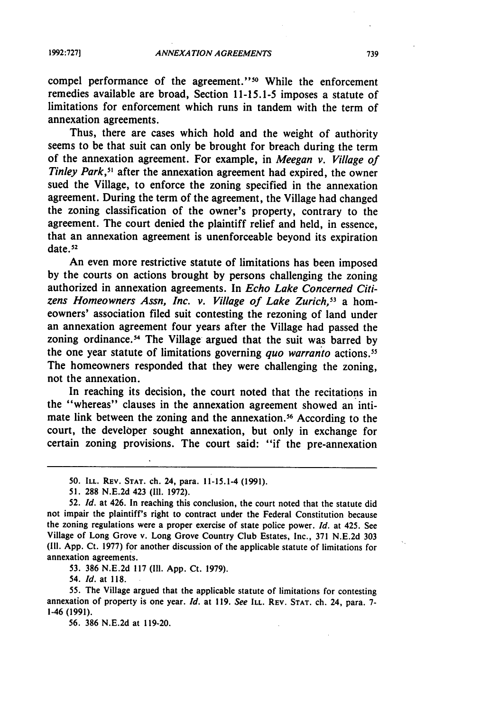compel performance of the agreement."<sup>50</sup> While the enforcement remedies available are broad, Section 11-15.1-5 imposes a statute of limitations for enforcement which runs in tandem with the term of annexation agreements.

Thus, there are cases which hold and the weight of authority seems to be that suit can only be brought for breach during the term of the annexation agreement. For example, in *Meegan v. Village of Tinley Park*,<sup>51</sup> after the annexation agreement had expired, the owner sued the Village, to enforce the zoning specified in the annexation agreement. During the term of the agreement, the Village had changed the zoning classification of the owner's property, contrary to the agreement. The court denied the plaintiff relief and held, in essence, that an annexation agreement is unenforceable beyond its expiration date. **<sup>52</sup>**

An even more restrictive statute of limitations has been imposed by the courts on actions brought by persons challenging the zoning authorized in annexation agreements. In *Echo Lake Concerned Citizens Homeowners Assn, Inc. v. Village of Lake Zurich, <sup>3</sup>*a homeowners' association filed suit contesting the rezoning of land under an annexation agreement four years after the Village had passed the zoning ordinance.54 The Village argued that the suit was barred **by** the one year statute of limitations governing *quo warranto* actions." The homeowners responded that they were challenging the zoning, not the annexation.

In reaching its decision, the court noted that the recitations in the "whereas" clauses in the annexation agreement showed an intimate link between the zoning and the annexation.<sup>56</sup> According to the court, the developer sought annexation, but only in exchange for certain zoning provisions. The court said: "if the pre-annexation

**53. 386** N.E.2d 117 (Ill. App. Ct. 1979).

54. *Id.* at 118.

**55.** The Village argued that the applicable statute of limitations for contesting annexation of property is one year. *Id.* at 119. *See* **ILL.** REV. **STAT.** ch. 24, para. **7-** 1-46 (1991).

**56.** 386 N.E.2d at 119-20.

**<sup>50.</sup> ILL. REV. STAT.** ch. 24, para. 11-15.1-4 **(1991).**

<sup>51. 288</sup> N.E.2d 423 (Il. 1972).

**<sup>52.</sup>** *Id.* at 426. In reaching this conclusion, the court noted that the statute did not impair the plaintiff's right to contract under the Federal Constitution because the zoning regulations were a proper exercise of state police power. *Id.* at 425. See Village of Long Grove v. Long Grove Country Club Estates, Inc., 371 N.E.2d **<sup>303</sup>** (Ill. App. Ct. 1977) for another discussion of the applicable statute of limitations for annexation agreements.